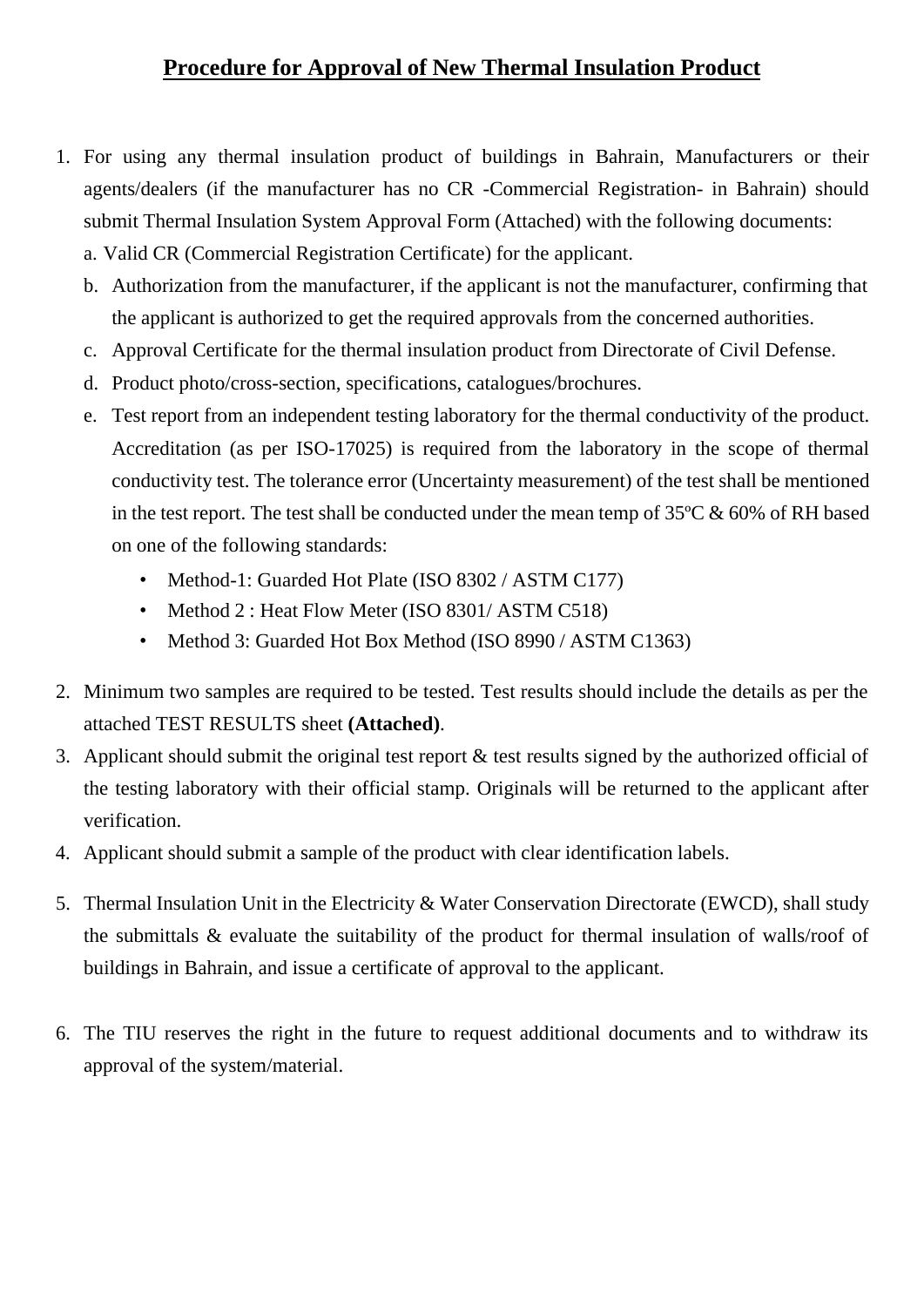## **Procedure for Approval of New Thermal Insulation Product**

- 1. For using any thermal insulation product of buildings in Bahrain, Manufacturers or their agents/dealers (if the manufacturer has no CR -Commercial Registration- in Bahrain) should submit Thermal Insulation System Approval Form (Attached) with the following documents:
	- a. Valid CR (Commercial Registration Certificate) for the applicant.
	- b. Authorization from the manufacturer, if the applicant is not the manufacturer, confirming that the applicant is authorized to get the required approvals from the concerned authorities.
	- c. Approval Certificate for the thermal insulation product from Directorate of Civil Defense.
	- d. Product photo/cross-section, specifications, catalogues/brochures.
	- e. Test report from an independent testing laboratory for the thermal conductivity of the product. Accreditation (as per ISO-17025) is required from the laboratory in the scope of thermal conductivity test. The tolerance error (Uncertainty measurement) of the test shall be mentioned in the test report. The test shall be conducted under the mean temp of 35ºC & 60% of RH based on one of the following standards:
		- Method-1: Guarded Hot Plate (ISO 8302 / ASTM C177)
		- Method 2 : Heat Flow Meter (ISO 8301/ASTM C518)
		- Method 3: Guarded Hot Box Method (ISO 8990 / ASTM C1363)
- 2. Minimum two samples are required to be tested. Test results should include the details as per the attached TEST RESULTS sheet **(Attached)**.
- 3. Applicant should submit the original test report & test results signed by the authorized official of the testing laboratory with their official stamp. Originals will be returned to the applicant after verification.
- 4. Applicant should submit a sample of the product with clear identification labels.
- 5. Thermal Insulation Unit in the Electricity & Water Conservation Directorate (EWCD), shall study the submittals & evaluate the suitability of the product for thermal insulation of walls/roof of buildings in Bahrain, and issue a certificate of approval to the applicant.
- 6. The TIU reserves the right in the future to request additional documents and to withdraw its approval of the system/material.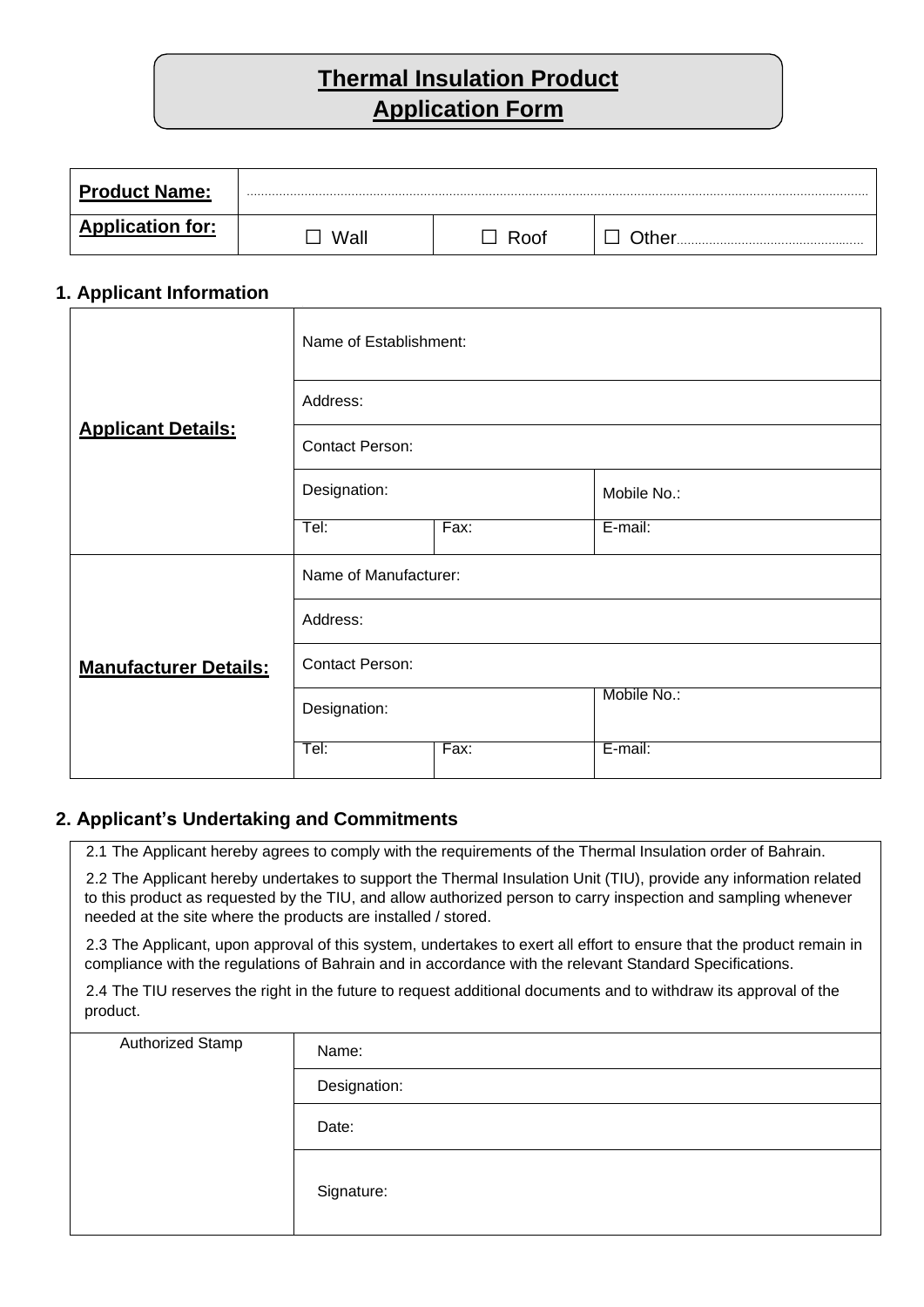# **Thermal Insulation Product Application Form**

| <b>Product Name:</b>    |      |     | . |
|-------------------------|------|-----|---|
| <b>Application for:</b> | Wall | ∖∩∩ |   |

#### **1. Applicant Information**

|                              | Name of Establishment: |      |             |  |  |
|------------------------------|------------------------|------|-------------|--|--|
|                              | Address:               |      |             |  |  |
| <b>Applicant Details:</b>    | Contact Person:        |      |             |  |  |
|                              | Designation:           |      | Mobile No.: |  |  |
|                              | Tel:                   | Fax: | E-mail:     |  |  |
| <b>Manufacturer Details:</b> | Name of Manufacturer:  |      |             |  |  |
|                              | Address:               |      |             |  |  |
|                              | <b>Contact Person:</b> |      |             |  |  |
|                              | Designation:           |      | Mobile No.: |  |  |
|                              | Tel:                   | Fax: | E-mail:     |  |  |

#### **2. Applicant's Undertaking and Commitments**

2.1 The Applicant hereby agrees to comply with the requirements of the Thermal Insulation order of Bahrain.

2.2 The Applicant hereby undertakes to support the Thermal Insulation Unit (TIU), provide any information related to this product as requested by the TIU, and allow authorized person to carry inspection and sampling whenever needed at the site where the products are installed / stored.

2.3 The Applicant, upon approval of this system, undertakes to exert all effort to ensure that the product remain in compliance with the regulations of Bahrain and in accordance with the relevant Standard Specifications.

2.4 The TIU reserves the right in the future to request additional documents and to withdraw its approval of the product.

| Authorized Stamp | Name:        |
|------------------|--------------|
|                  | Designation: |
|                  | Date:        |
|                  | Signature:   |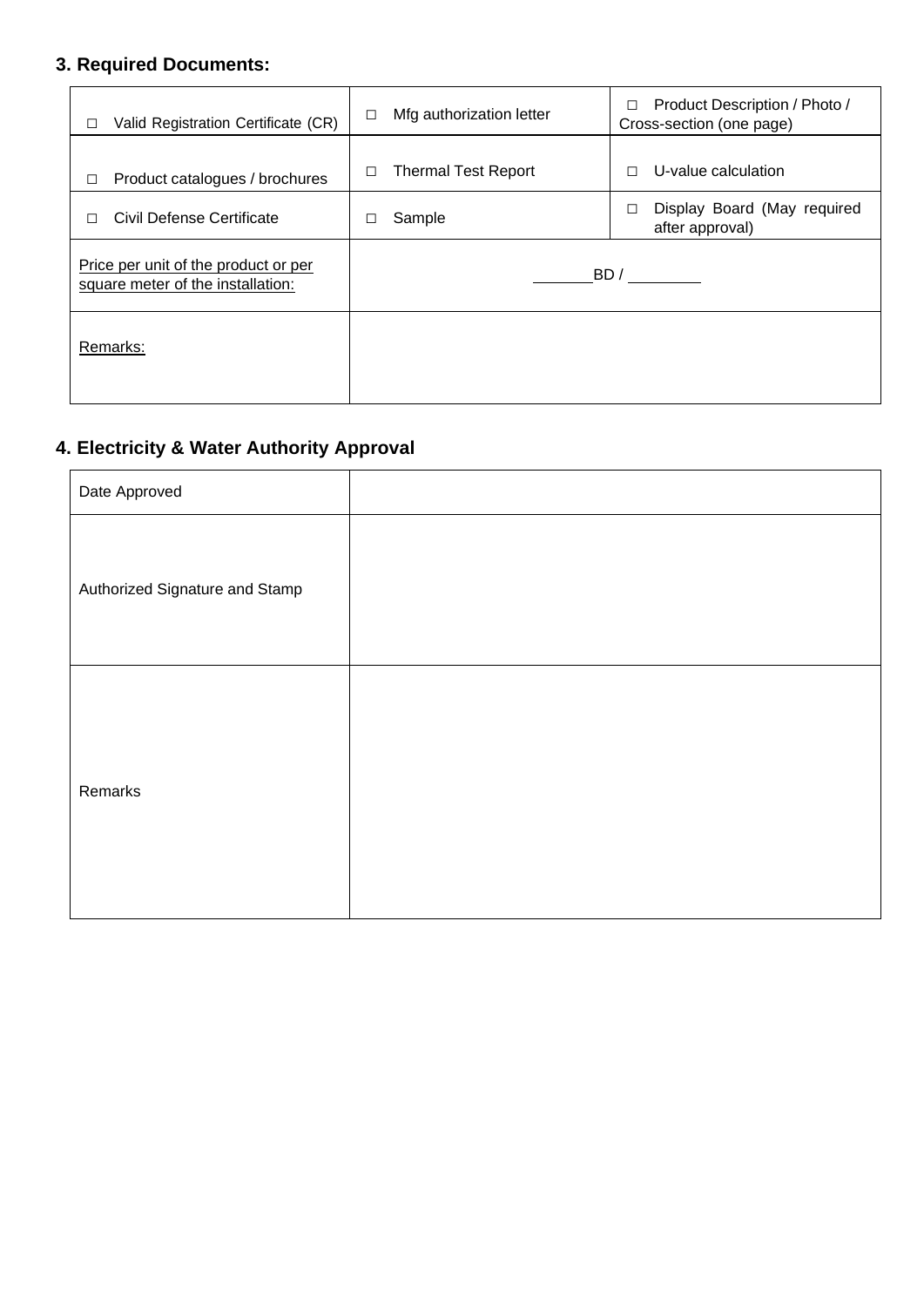### **3. Required Documents:**

| Valid Registration Certificate (CR)<br>П                                  | Mfg authorization letter<br>□   | Product Description / Photo /<br>□<br>Cross-section (one page) |
|---------------------------------------------------------------------------|---------------------------------|----------------------------------------------------------------|
| Product catalogues / brochures                                            | <b>Thermal Test Report</b><br>□ | U-value calculation<br>П                                       |
| Civil Defense Certificate<br>П                                            | Sample                          | Display Board (May required<br>after approval)                 |
| Price per unit of the product or per<br>square meter of the installation: |                                 | BD /                                                           |
| Remarks:                                                                  |                                 |                                                                |

### **4. Electricity & Water Authority Approval**

| Date Approved                  |  |
|--------------------------------|--|
| Authorized Signature and Stamp |  |
| Remarks                        |  |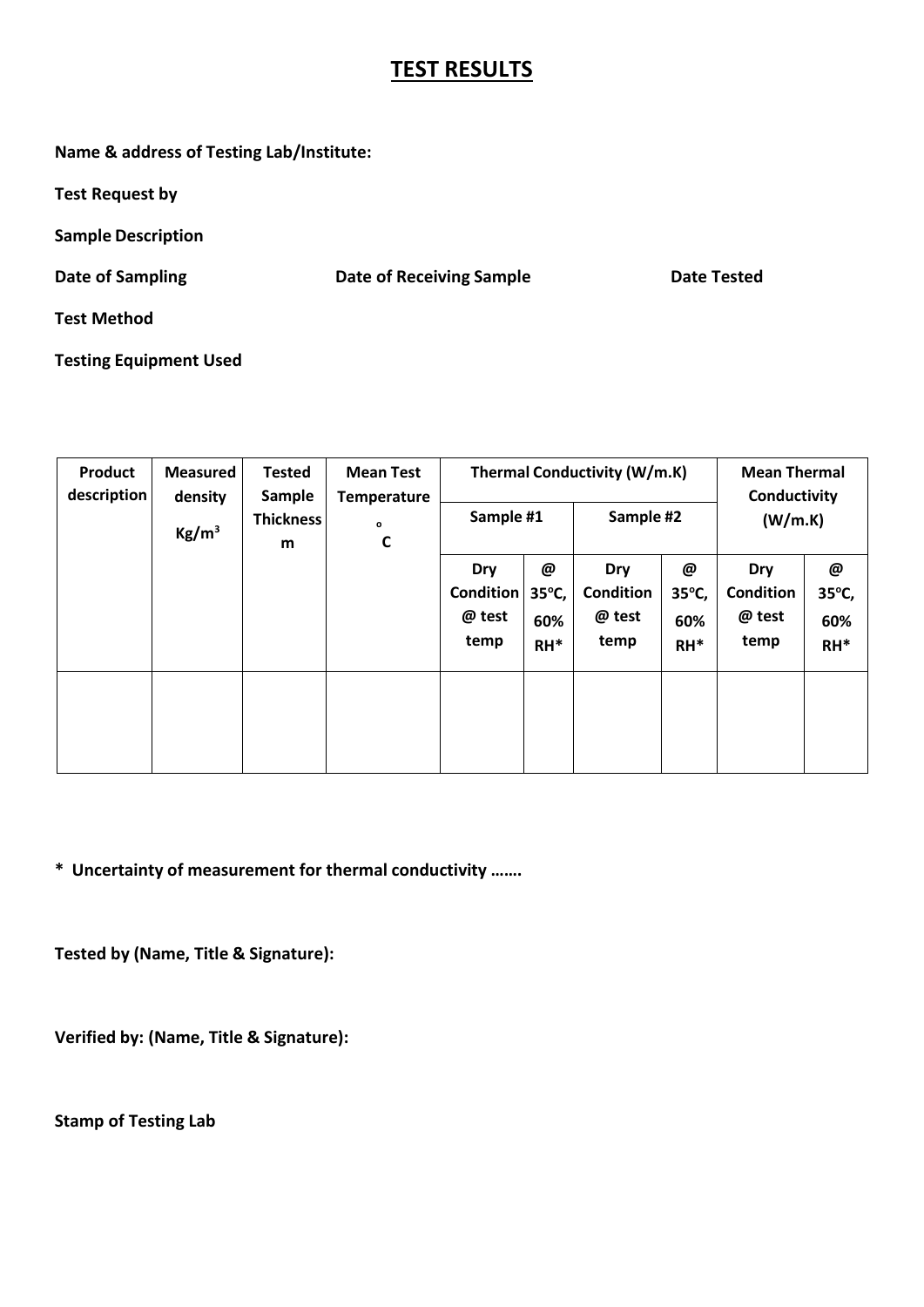## **TEST RESULTS**

**Name & address of Testing Lab/Institute:**

**Test Request by**

**Sample Description**

**Date of Sampling Date of Receiving Sample Date Tested**

**Test Method**

**Testing Equipment Used**

| Product<br>description | <b>Measured</b><br>density<br>Kg/m <sup>3</sup> | <b>Tested</b><br>Sample<br><b>Thickness</b><br>m | <b>Mean Test</b><br><b>Temperature</b><br>0<br>$\mathbf c$ | Sample #1                                 |                                       | Thermal Conductivity (W/m.K)<br>Sample #2 |                             | <b>Mean Thermal</b><br>Conductivity<br>(W/m.K) |                             |
|------------------------|-------------------------------------------------|--------------------------------------------------|------------------------------------------------------------|-------------------------------------------|---------------------------------------|-------------------------------------------|-----------------------------|------------------------------------------------|-----------------------------|
|                        |                                                 |                                                  |                                                            | Dry<br><b>Condition</b><br>@ test<br>temp | @<br>$35^{\circ}$ C,<br>60%<br>$RH^*$ | Dry<br><b>Condition</b><br>@ test<br>temp | @<br>35°C,<br>60%<br>$RH^*$ | Dry<br><b>Condition</b><br>@ test<br>temp      | @<br>35°C,<br>60%<br>$RH^*$ |
|                        |                                                 |                                                  |                                                            |                                           |                                       |                                           |                             |                                                |                             |

**\* Uncertainty of measurement for thermal conductivity …….**

**Tested by (Name, Title & Signature):**

**Verified by: (Name, Title & Signature):**

**Stamp of Testing Lab**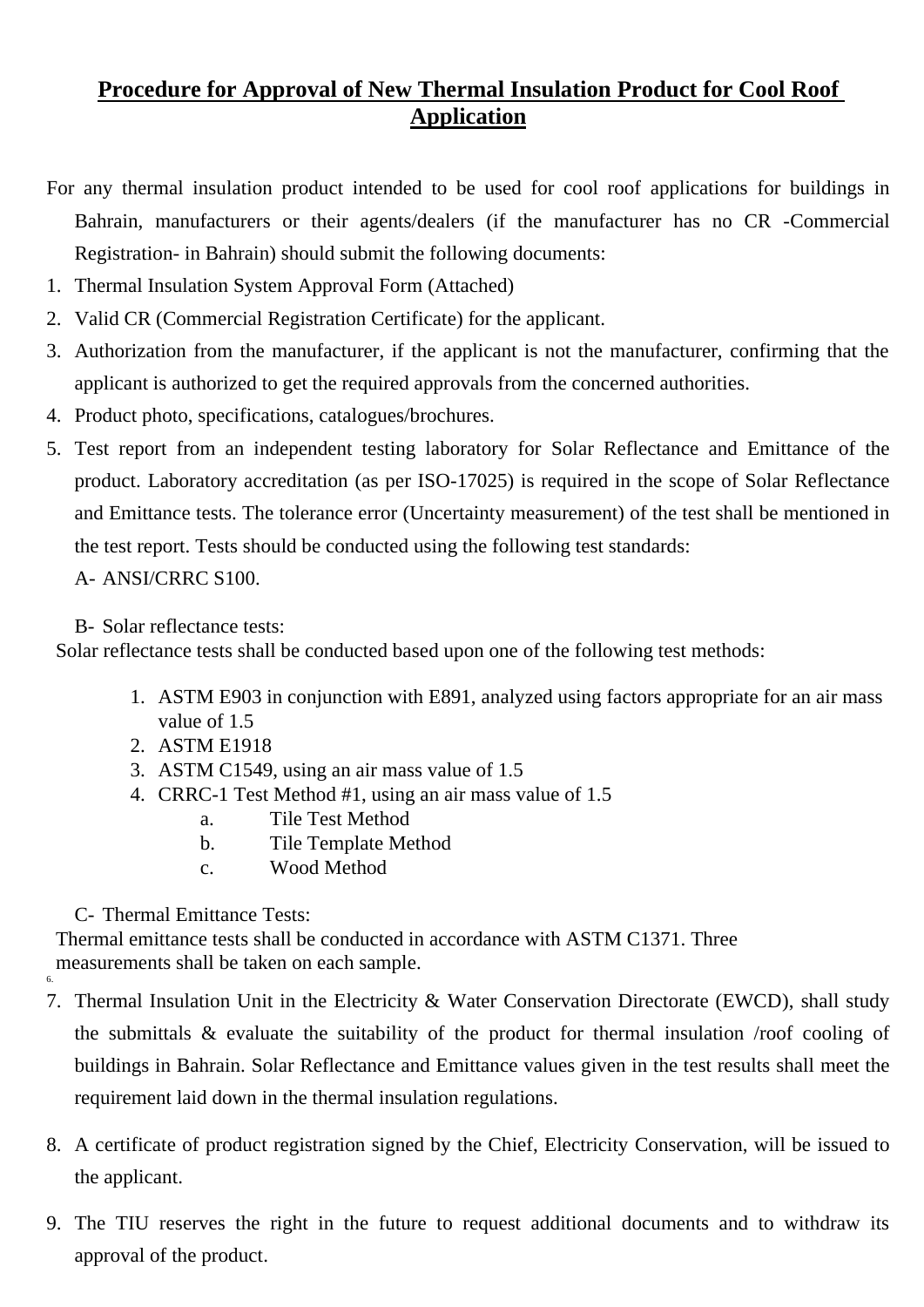## **Procedure for Approval of New Thermal Insulation Product for Cool Roof Application**

For any thermal insulation product intended to be used for cool roof applications for buildings in Bahrain, manufacturers or their agents/dealers (if the manufacturer has no CR -Commercial Registration- in Bahrain) should submit the following documents:

- 1. Thermal Insulation System Approval Form (Attached)
- 2. Valid CR (Commercial Registration Certificate) for the applicant.
- 3. Authorization from the manufacturer, if the applicant is not the manufacturer, confirming that the applicant is authorized to get the required approvals from the concerned authorities.
- 4. Product photo, specifications, catalogues/brochures.
- 5. Test report from an independent testing laboratory for Solar Reflectance and Emittance of the product. Laboratory accreditation (as per ISO-17025) is required in the scope of Solar Reflectance and Emittance tests. The tolerance error (Uncertainty measurement) of the test shall be mentioned in the test report. Tests should be conducted using the following test standards:

A- ANSI/CRRC S100.

B- Solar reflectance tests:

Solar reflectance tests shall be conducted based upon one of the following test methods:

- 1. ASTM E903 in conjunction with E891, analyzed using factors appropriate for an air mass value of 1.5
- 2. ASTM E1918
- 3. ASTM C1549, using an air mass value of 1.5
- 4. CRRC-1 Test Method #1, using an air mass value of 1.5
	- a. Tile Test Method
	- b. Tile Template Method
	- c. Wood Method

C- Thermal Emittance Tests:

Thermal emittance tests shall be conducted in accordance with ASTM C1371. Three measurements shall be taken on each sample. 6.

- 7. Thermal Insulation Unit in the Electricity & Water Conservation Directorate (EWCD), shall study the submittals & evaluate the suitability of the product for thermal insulation /roof cooling of buildings in Bahrain. Solar Reflectance and Emittance values given in the test results shall meet the requirement laid down in the thermal insulation regulations.
- 8. A certificate of product registration signed by the Chief, Electricity Conservation, will be issued to the applicant.
- 9. The TIU reserves the right in the future to request additional documents and to withdraw its approval of the product.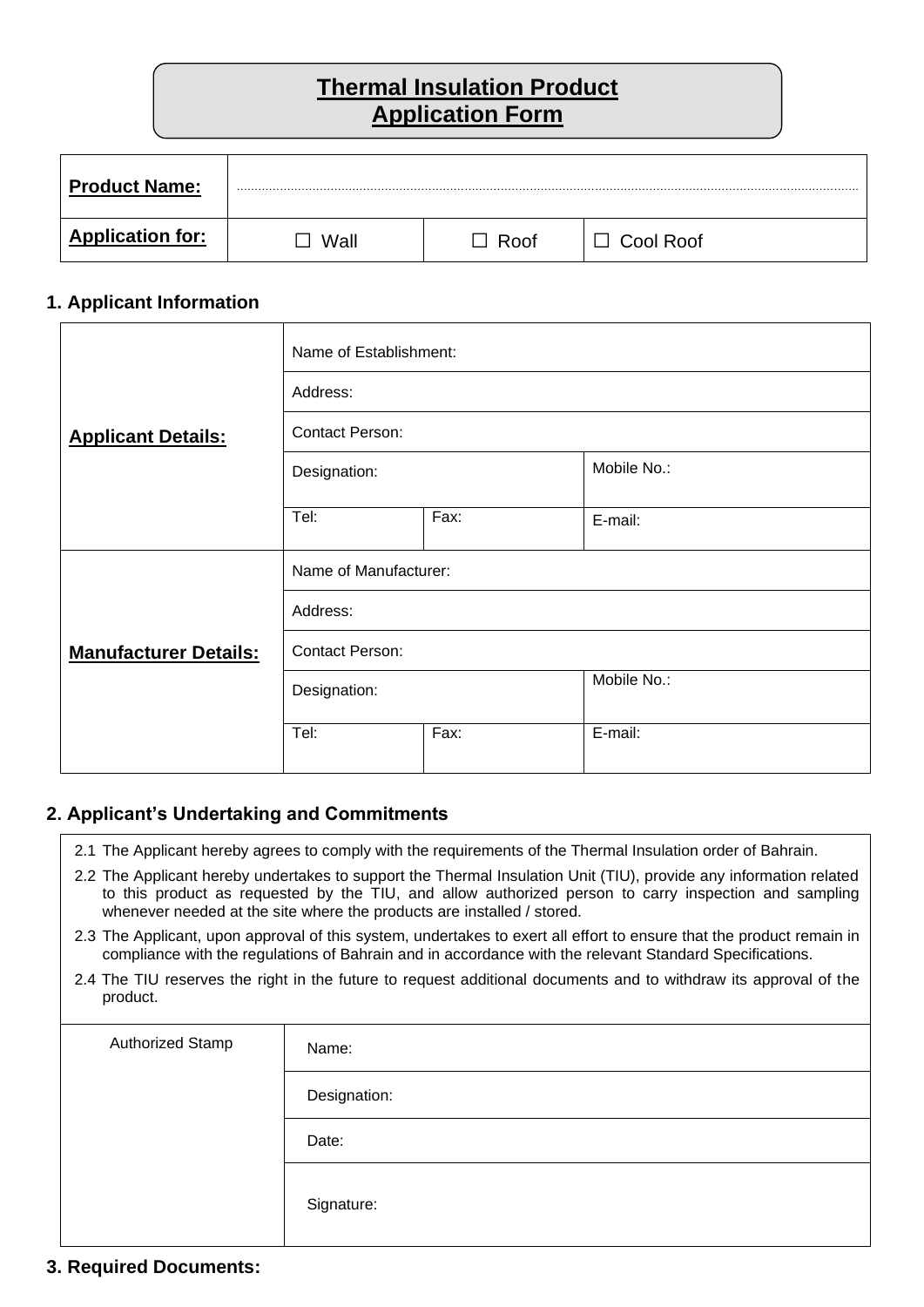## **Thermal Insulation Product Application Form**

| <b>Product Name:</b>    | .    |      |           |
|-------------------------|------|------|-----------|
| <b>Application for:</b> | Wall | Roof | Cool Roof |

#### **1. Applicant Information**

|                              | Name of Establishment: |      |             |  |  |
|------------------------------|------------------------|------|-------------|--|--|
|                              | Address:               |      |             |  |  |
| <b>Applicant Details:</b>    | <b>Contact Person:</b> |      |             |  |  |
|                              | Designation:           |      | Mobile No.: |  |  |
|                              | Tel:                   | Fax: | E-mail:     |  |  |
|                              | Name of Manufacturer:  |      |             |  |  |
|                              | Address:               |      |             |  |  |
| <b>Manufacturer Details:</b> | <b>Contact Person:</b> |      |             |  |  |
|                              | Designation:           |      | Mobile No.: |  |  |
|                              | Tel:                   | Fax: | E-mail:     |  |  |

### **2. Applicant's Undertaking and Commitments**

- 2.1 The Applicant hereby agrees to comply with the requirements of the Thermal Insulation order of Bahrain.
- 2.2 The Applicant hereby undertakes to support the Thermal Insulation Unit (TIU), provide any information related to this product as requested by the TIU, and allow authorized person to carry inspection and sampling whenever needed at the site where the products are installed / stored.
- 2.3 The Applicant, upon approval of this system, undertakes to exert all effort to ensure that the product remain in compliance with the regulations of Bahrain and in accordance with the relevant Standard Specifications.
- 2.4 The TIU reserves the right in the future to request additional documents and to withdraw its approval of the product.

| Authorized Stamp | Name:        |
|------------------|--------------|
|                  | Designation: |
|                  | Date:        |
|                  | Signature:   |